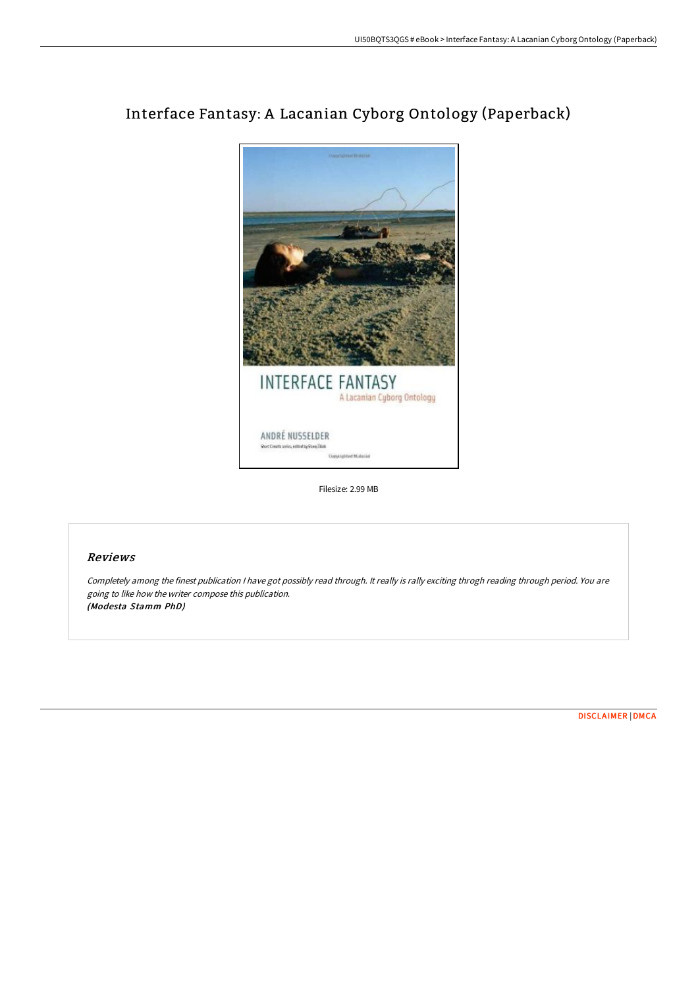

# Interface Fantasy: A Lacanian Cyborg Ontology (Paperback)

Filesize: 2.99 MB

# Reviews

Completely among the finest publication <sup>I</sup> have got possibly read through. It really is rally exciting throgh reading through period. You are going to like how the writer compose this publication. (Modesta Stamm PhD)

[DISCLAIMER](http://techno-pub.tech/disclaimer.html) | [DMCA](http://techno-pub.tech/dmca.html)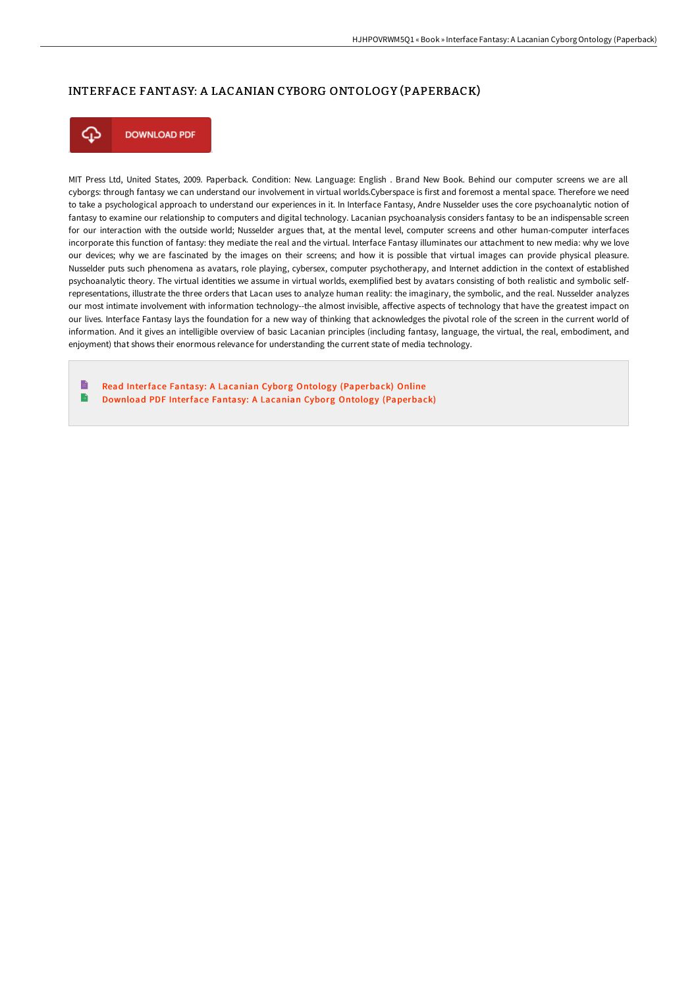# INTERFACE FANTASY: A LACANIAN CYBORG ONTOLOGY (PAPERBACK)



**DOWNLOAD PDF** 

MIT Press Ltd, United States, 2009. Paperback. Condition: New. Language: English . Brand New Book. Behind our computer screens we are all cyborgs: through fantasy we can understand our involvement in virtual worlds.Cyberspace is first and foremost a mental space. Therefore we need to take a psychological approach to understand our experiences in it. In Interface Fantasy, Andre Nusselder uses the core psychoanalytic notion of fantasy to examine our relationship to computers and digital technology. Lacanian psychoanalysis considers fantasy to be an indispensable screen for our interaction with the outside world; Nusselder argues that, at the mental level, computer screens and other human-computer interfaces incorporate this function of fantasy: they mediate the real and the virtual. Interface Fantasy illuminates our attachment to new media: why we love our devices; why we are fascinated by the images on their screens; and how it is possible that virtual images can provide physical pleasure. Nusselder puts such phenomena as avatars, role playing, cybersex, computer psychotherapy, and Internet addiction in the context of established psychoanalytic theory. The virtual identities we assume in virtual worlds, exemplified best by avatars consisting of both realistic and symbolic selfrepresentations, illustrate the three orders that Lacan uses to analyze human reality: the imaginary, the symbolic, and the real. Nusselder analyzes our most intimate involvement with information technology--the almost invisible, affective aspects of technology that have the greatest impact on our lives. Interface Fantasy lays the foundation for a new way of thinking that acknowledges the pivotal role of the screen in the current world of information. And it gives an intelligible overview of basic Lacanian principles (including fantasy, language, the virtual, the real, embodiment, and enjoyment) that shows their enormous relevance for understanding the current state of media technology.

B Read Interface Fantasy: A Lacanian Cyborg Ontology [\(Paperback\)](http://techno-pub.tech/interface-fantasy-a-lacanian-cyborg-ontology-pap.html) Online B Download PDF Interface Fantasy: A Lacanian Cyborg Ontology [\(Paperback\)](http://techno-pub.tech/interface-fantasy-a-lacanian-cyborg-ontology-pap.html)